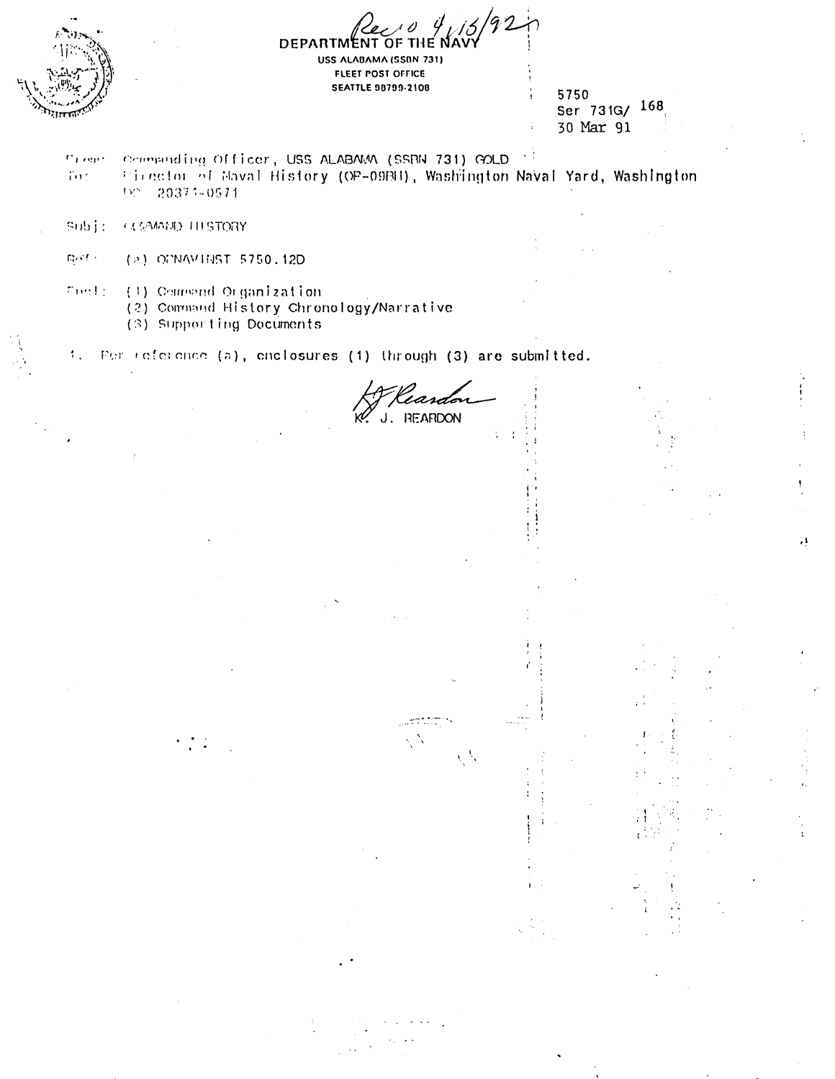

**DEPARTMENT** USS ALABAMA (SSBN 731) **FLEET POST OFFICE SEATTLE 98799-2108** 

5750 Ser 731G/ 168 30 Mar 91

ą

mi one. Compuding Officer, USS ALABAMA (SSBN 731) GOLD Firector of Maval History (OP-09BH), Washington Naval Yard, Washington  $702$ 551 20371-0571

**COMMAD THISTORY** Subje

 $\mathbb{Q}(\mathcal{S},\mathbb{C})$  . (>) OPNAVINST 5750.12D

 $T(\omega)$  is a (1) Compand Organization

(2) Command History Chronology/Narrative

(3) Supporting Documents

 $\mathcal{L}_\infty$ Fer reference (a), enclosures (1) through (3) are submitted.

'iara **REARDON** 

 $\chi^{-1}\chi$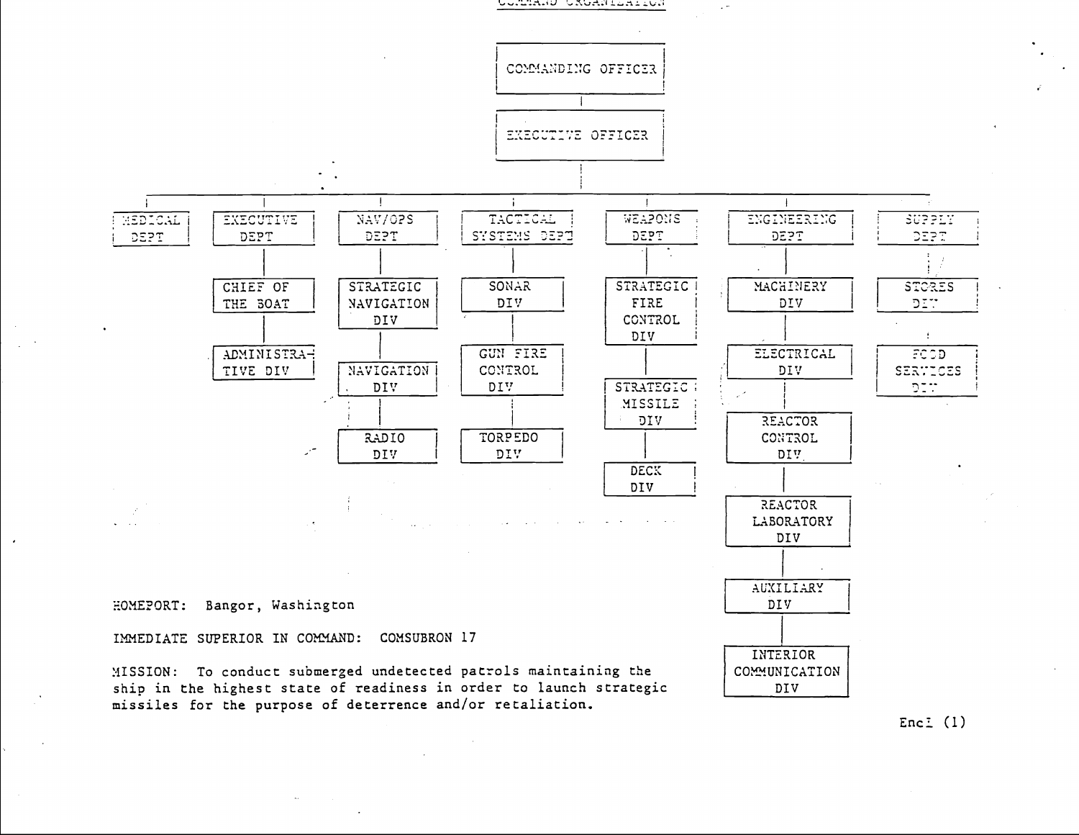





HOMEPORT: Bangor, Washington

IMMEDIATE SUPERIOR IN COMMAND: COMSUBRON 17

MISSION: To conduct submerged undetected patrols maintaining the ship in the highest state of readiness in order to launch strategic missiles for the purpose of deterrence and/or retaliation.

Enc.  $(1)$ 

INTERIOR

COMMUNICATION

DIV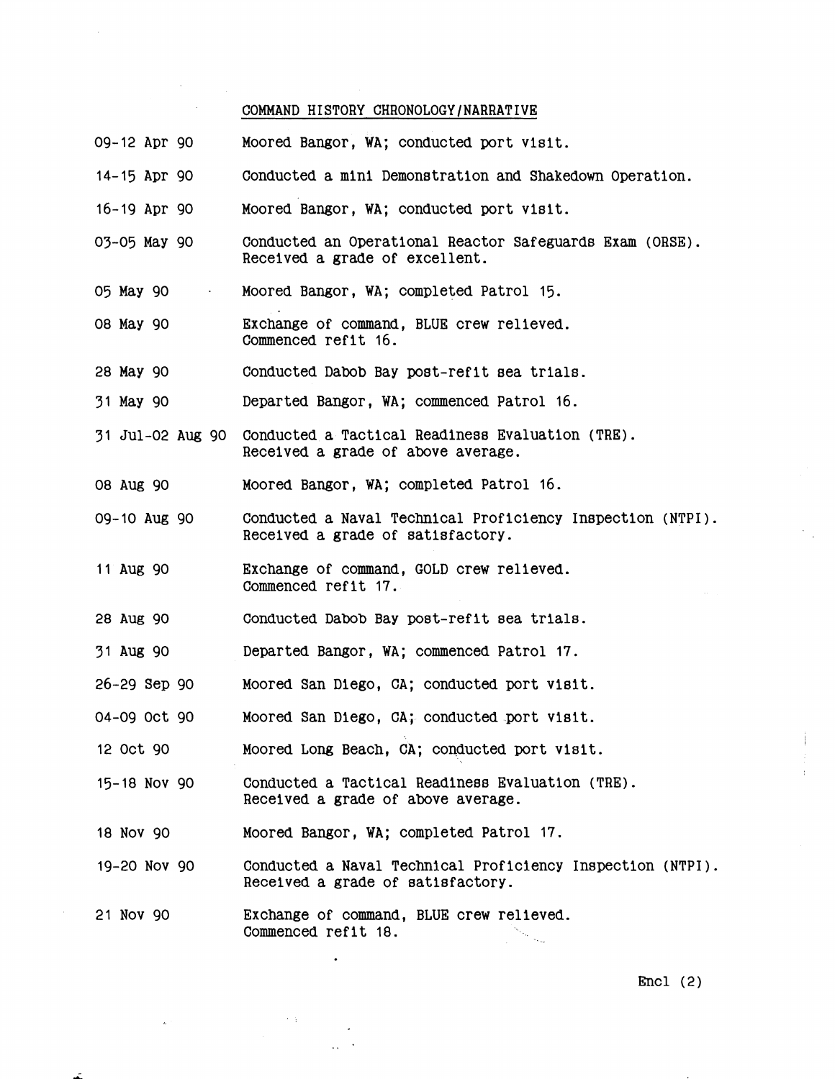## COMMAND HISTORY CHRONOLOGY/NARRATIVE

 $\bar{\beta}$ 

 $\bar{\beta}$ 

 $\mathcal{L}_{\mathcal{A}}$ 

| 09-12 Apr 90             | Moored Bangor, WA; conducted port visit.                                                        |
|--------------------------|-------------------------------------------------------------------------------------------------|
| $14 - 15$ Apr 90         | Conducted a mini Demonstration and Shakedown Operation.                                         |
| $16 - 19$ Apr 90         | Moored Bangor, WA; conducted port visit.                                                        |
| 03-05 May 90             | Conducted an Operational Reactor Safeguards Exam (ORSE).<br>Received a grade of excellent.      |
| 05 May 90<br>$\bullet$ . | Moored Bangor, WA; completed Patrol 15.                                                         |
| 08 May 90                | Exchange of command, BLUE crew relieved.<br>Commenced refit 16.                                 |
| 28 May 90                | Conducted Dabob Bay post-refit sea trials.                                                      |
| 31 May 90                | Departed Bangor, WA; commenced Patrol 16.                                                       |
| 31 Jul-02 Aug 90         | Conducted a Tactical Readiness Evaluation (TRE).<br>Received a grade of above average.          |
| 08 Aug 90                | Moored Bangor, WA; completed Patrol 16.                                                         |
| 09-10 Aug 90             | Conducted a Naval Technical Proficiency Inspection (NTPI).<br>Received a grade of satisfactory. |
| 11 Aug 90                | Exchange of command, GOLD crew relieved.<br>Commenced refit 17.                                 |
| 28 Aug 90                | Conducted Dabob Bay post-refit sea trials.                                                      |
| 31 Aug 90                | Departed Bangor, WA; commenced Patrol 17.                                                       |
| 26-29 Sep 90             | Moored San Diego, CA; conducted port visit.                                                     |
| 04-09 Oct 90             | Moored San Diego, CA; conducted port visit.                                                     |
| 12 Oct 90                | Moored Long Beach, CA; conducted port visit.                                                    |
| 15-18 Nov 90             | Conducted a Tactical Readiness Evaluation (TRE).<br>Received a grade of above average.          |
| 18 Nov 90                | Moored Bangor, WA; completed Patrol 17.                                                         |
| 19-20 Nov 90             | Conducted a Naval Technical Proficiency Inspection (NTPI).<br>Received a grade of satisfactory. |
| 21 Nov 90                | Exchange of command, BLUE crew relieved.<br>Commenced refit 18.                                 |

 $\bullet$ 

 $\mathcal{A}$  $\alpha\in\mathbb{R}^2$ 

 $\label{eq:2} \frac{d\mathbf{u}}{dt} = \frac{1}{2} \mathbf{u} \mathbf{u}$ 

 $\alpha$ 

 $\mathcal{L}$ 

Encl (2)

 $\mathcal{F}_{\mathcal{A},\mathcal{A}}$